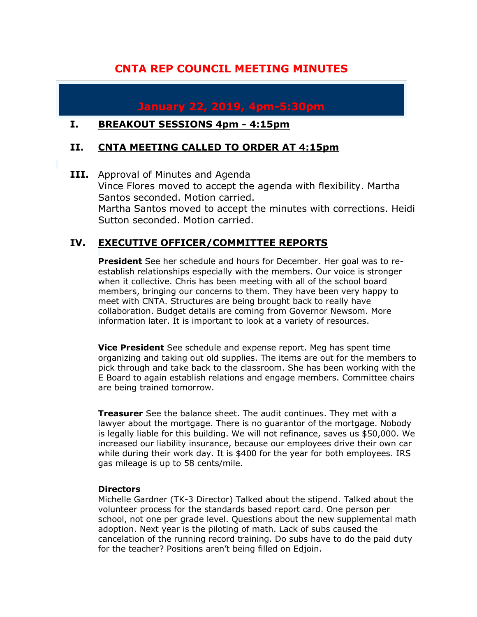# **CNTA REP COUNCIL MEETING MINUTES**

# **January 22, 2019, 4pm-5:30pm**

#### **I. BREAKOUT SESSIONS 4pm - 4:15pm**

### **II. CNTA MEETING CALLED TO ORDER AT 4:15pm**

**III.** Approval of Minutes and Agenda Vince Flores moved to accept the agenda with flexibility. Martha Santos seconded. Motion carried. Martha Santos moved to accept the minutes with corrections. Heidi Sutton seconded. Motion carried.

### **IV. EXECUTIVE OFFICER/COMMITTEE REPORTS**

**President** See her schedule and hours for December. Her goal was to reestablish relationships especially with the members. Our voice is stronger when it collective. Chris has been meeting with all of the school board members, bringing our concerns to them. They have been very happy to meet with CNTA. Structures are being brought back to really have collaboration. Budget details are coming from Governor Newsom. More information later. It is important to look at a variety of resources.

**Vice President** See schedule and expense report. Meg has spent time organizing and taking out old supplies. The items are out for the members to pick through and take back to the classroom. She has been working with the E Board to again establish relations and engage members. Committee chairs are being trained tomorrow.

**Treasurer** See the balance sheet. The audit continues. They met with a lawyer about the mortgage. There is no guarantor of the mortgage. Nobody is legally liable for this building. We will not refinance, saves us \$50,000. We increased our liability insurance, because our employees drive their own car while during their work day. It is \$400 for the year for both employees. IRS gas mileage is up to 58 cents/mile.

#### **Directors**

Michelle Gardner (TK-3 Director) Talked about the stipend. Talked about the volunteer process for the standards based report card. One person per school, not one per grade level. Questions about the new supplemental math adoption. Next year is the piloting of math. Lack of subs caused the cancelation of the running record training. Do subs have to do the paid duty for the teacher? Positions aren't being filled on Edjoin.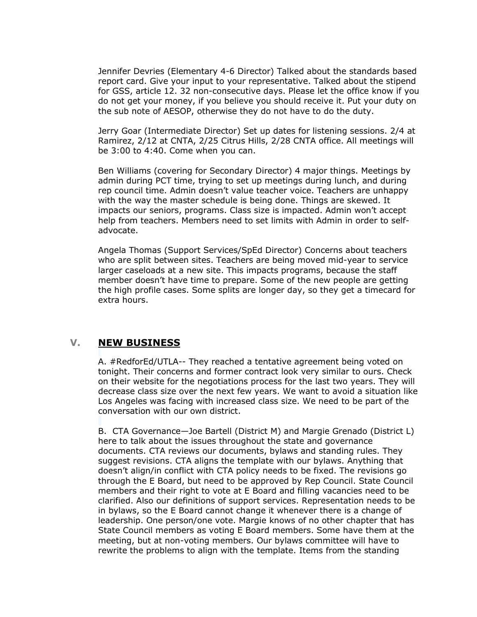Jennifer Devries (Elementary 4-6 Director) Talked about the standards based report card. Give your input to your representative. Talked about the stipend for GSS, article 12. 32 non-consecutive days. Please let the office know if you do not get your money, if you believe you should receive it. Put your duty on the sub note of AESOP, otherwise they do not have to do the duty.

Jerry Goar (Intermediate Director) Set up dates for listening sessions. 2/4 at Ramirez, 2/12 at CNTA, 2/25 Citrus Hills, 2/28 CNTA office. All meetings will be 3:00 to 4:40. Come when you can.

Ben Williams (covering for Secondary Director) 4 major things. Meetings by admin during PCT time, trying to set up meetings during lunch, and during rep council time. Admin doesn't value teacher voice. Teachers are unhappy with the way the master schedule is being done. Things are skewed. It impacts our seniors, programs. Class size is impacted. Admin won't accept help from teachers. Members need to set limits with Admin in order to selfadvocate.

Angela Thomas (Support Services/SpEd Director) Concerns about teachers who are split between sites. Teachers are being moved mid-year to service larger caseloads at a new site. This impacts programs, because the staff member doesn't have time to prepare. Some of the new people are getting the high profile cases. Some splits are longer day, so they get a timecard for extra hours.

#### **V. NEW BUSINESS**

A. #RedforEd/UTLA-- They reached a tentative agreement being voted on tonight. Their concerns and former contract look very similar to ours. Check on their website for the negotiations process for the last two years. They will decrease class size over the next few years. We want to avoid a situation like Los Angeles was facing with increased class size. We need to be part of the conversation with our own district.

B. CTA Governance—Joe Bartell (District M) and Margie Grenado (District L) here to talk about the issues throughout the state and governance documents. CTA reviews our documents, bylaws and standing rules. They suggest revisions. CTA aligns the template with our bylaws. Anything that doesn't align/in conflict with CTA policy needs to be fixed. The revisions go through the E Board, but need to be approved by Rep Council. State Council members and their right to vote at E Board and filling vacancies need to be clarified. Also our definitions of support services. Representation needs to be in bylaws, so the E Board cannot change it whenever there is a change of leadership. One person/one vote. Margie knows of no other chapter that has State Council members as voting E Board members. Some have them at the meeting, but at non-voting members. Our bylaws committee will have to rewrite the problems to align with the template. Items from the standing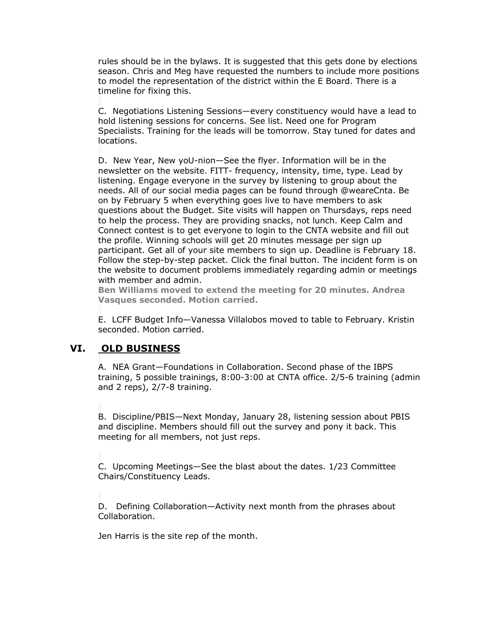rules should be in the bylaws. It is suggested that this gets done by elections season. Chris and Meg have requested the numbers to include more positions to model the representation of the district within the E Board. There is a timeline for fixing this.

C. Negotiations Listening Sessions—every constituency would have a lead to hold listening sessions for concerns. See list. Need one for Program Specialists. Training for the leads will be tomorrow. Stay tuned for dates and locations.

D. New Year, New yoU-nion—See the flyer. Information will be in the newsletter on the website. FITT- frequency, intensity, time, type. Lead by listening. Engage everyone in the survey by listening to group about the needs. All of our social media pages can be found through @weareCnta. Be on by February 5 when everything goes live to have members to ask questions about the Budget. Site visits will happen on Thursdays, reps need to help the process. They are providing snacks, not lunch. Keep Calm and Connect contest is to get everyone to login to the CNTA website and fill out the profile. Winning schools will get 20 minutes message per sign up participant. Get all of your site members to sign up. Deadline is February 18. Follow the step-by-step packet. Click the final button. The incident form is on the website to document problems immediately regarding admin or meetings with member and admin.

**Ben Williams moved to extend the meeting for 20 minutes. Andrea Vasques seconded. Motion carried.**

E. LCFF Budget Info—Vanessa Villalobos moved to table to February. Kristin seconded. Motion carried.

### **VI. OLD BUSINESS**

A. NEA Grant—Foundations in Collaboration. Second phase of the IBPS training, 5 possible trainings, 8:00-3:00 at CNTA office. 2/5-6 training (admin and 2 reps), 2/7-8 training.

B. Discipline/PBIS—Next Monday, January 28, listening session about PBIS and discipline. Members should fill out the survey and pony it back. This meeting for all members, not just reps.

C. Upcoming Meetings—See the blast about the dates. 1/23 Committee Chairs/Constituency Leads.

D. Defining Collaboration—Activity next month from the phrases about Collaboration.

Jen Harris is the site rep of the month.